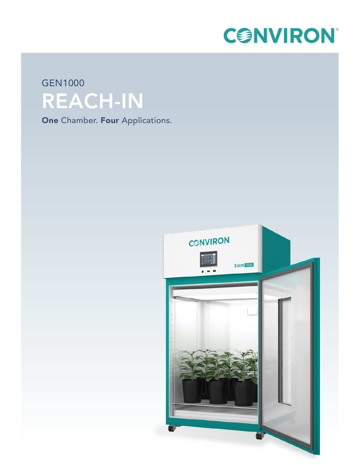

# GEN1000 REACH-IN

**One Chamber. Four Applications.**